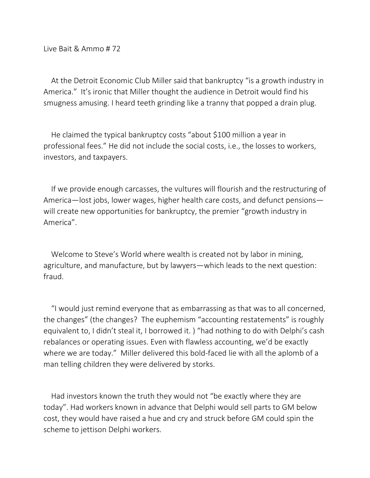Live Bait & Ammo # 72

At the Detroit Economic Club Miller said that bankruptcy "is a growth industry in America." It's ironic that Miller thought the audience in Detroit would find his smugness amusing. I heard teeth grinding like a tranny that popped a drain plug.

He claimed the typical bankruptcy costs "about \$100 million a year in professional fees." He did not include the social costs, i.e., the losses to workers, investors, and taxpayers.

If we provide enough carcasses, the vultures will flourish and the restructuring of America—lost jobs, lower wages, higher health care costs, and defunct pensions will create new opportunities for bankruptcy, the premier "growth industry in America".

Welcome to Steve's World where wealth is created not by labor in mining, agriculture, and manufacture, but by lawyers—which leads to the next question: fraud.

"I would just remind everyone that as embarrassing as that was to all concerned, the changes" (the changes? The euphemism "accounting restatements" is roughly equivalent to, I didn't steal it, I borrowed it. ) "had nothing to do with Delphi's cash rebalances or operating issues. Even with flawless accounting, we'd be exactly where we are today." Miller delivered this bold-faced lie with all the aplomb of a man telling children they were delivered by storks.

Had investors known the truth they would not "be exactly where they are today". Had workers known in advance that Delphi would sell parts to GM below cost, they would have raised a hue and cry and struck before GM could spin the scheme to jettison Delphi workers.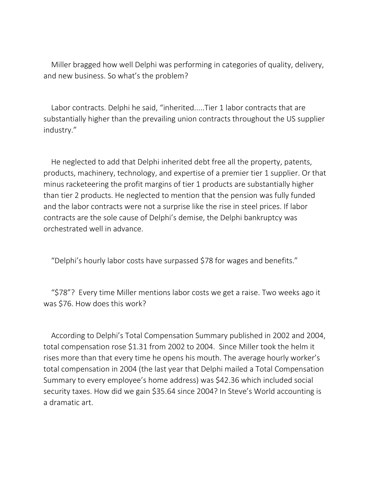Miller bragged how well Delphi was performing in categories of quality, delivery, and new business. So what's the problem?

Labor contracts. Delphi he said, "inherited.....Tier 1 labor contracts that are substantially higher than the prevailing union contracts throughout the US supplier industry."

He neglected to add that Delphi inherited debt free all the property, patents, products, machinery, technology, and expertise of a premier tier 1 supplier. Or that minus racketeering the profit margins of tier 1 products are substantially higher than tier 2 products. He neglected to mention that the pension was fully funded and the labor contracts were not a surprise like the rise in steel prices. If labor contracts are the sole cause of Delphi's demise, the Delphi bankruptcy was orchestrated well in advance.

"Delphi's hourly labor costs have surpassed \$78 for wages and benefits."

"\$78"? Every time Miller mentions labor costs we get a raise. Two weeks ago it was \$76. How does this work?

According to Delphi's Total Compensation Summary published in 2002 and 2004, total compensation rose \$1.31 from 2002 to 2004. Since Miller took the helm it rises more than that every time he opens his mouth. The average hourly worker's total compensation in 2004 (the last year that Delphi mailed a Total Compensation Summary to every employee's home address) was \$42.36 which included social security taxes. How did we gain \$35.64 since 2004? In Steve's World accounting is a dramatic art.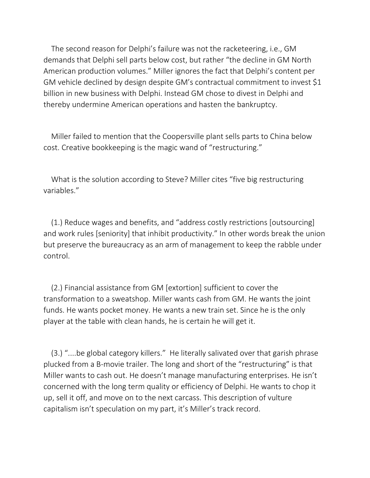The second reason for Delphi's failure was not the racketeering, i.e., GM demands that Delphi sell parts below cost, but rather "the decline in GM North American production volumes." Miller ignores the fact that Delphi's content per GM vehicle declined by design despite GM's contractual commitment to invest \$1 billion in new business with Delphi. Instead GM chose to divest in Delphi and thereby undermine American operations and hasten the bankruptcy.

Miller failed to mention that the Coopersville plant sells parts to China below cost. Creative bookkeeping is the magic wand of "restructuring."

What is the solution according to Steve? Miller cites "five big restructuring variables."

(1.) Reduce wages and benefits, and "address costly restrictions [outsourcing] and work rules [seniority] that inhibit productivity." In other words break the union but preserve the bureaucracy as an arm of management to keep the rabble under control.

(2.) Financial assistance from GM [extortion] sufficient to cover the transformation to a sweatshop. Miller wants cash from GM. He wants the joint funds. He wants pocket money. He wants a new train set. Since he is the only player at the table with clean hands, he is certain he will get it.

(3.) "....be global category killers." He literally salivated over that garish phrase plucked from a B-movie trailer. The long and short of the "restructuring" is that Miller wants to cash out. He doesn't manage manufacturing enterprises. He isn't concerned with the long term quality or efficiency of Delphi. He wants to chop it up, sell it off, and move on to the next carcass. This description of vulture capitalism isn't speculation on my part, it's Miller's track record.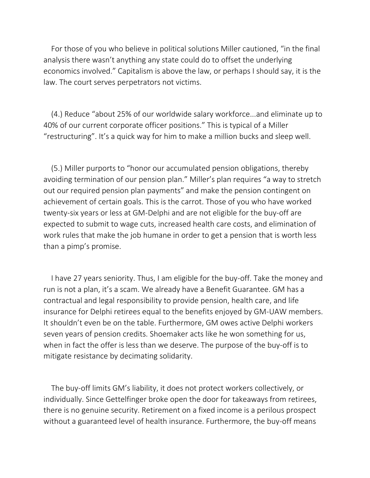For those of you who believe in political solutions Miller cautioned, "in the final analysis there wasn't anything any state could do to offset the underlying economics involved." Capitalism is above the law, or perhaps I should say, it is the law. The court serves perpetrators not victims.

(4.) Reduce "about 25% of our worldwide salary workforce...and eliminate up to 40% of our current corporate officer positions." This is typical of a Miller "restructuring". It's a quick way for him to make a million bucks and sleep well.

(5.) Miller purports to "honor our accumulated pension obligations, thereby avoiding termination of our pension plan." Miller's plan requires "a way to stretch out our required pension plan payments" and make the pension contingent on achievement of certain goals. This is the carrot. Those of you who have worked twenty-six years or less at GM-Delphi and are not eligible for the buy-off are expected to submit to wage cuts, increased health care costs, and elimination of work rules that make the job humane in order to get a pension that is worth less than a pimp's promise.

I have 27 years seniority. Thus, I am eligible for the buy-off. Take the money and run is not a plan, it's a scam. We already have a Benefit Guarantee. GM has a contractual and legal responsibility to provide pension, health care, and life insurance for Delphi retirees equal to the benefits enjoyed by GM-UAW members. It shouldn't even be on the table. Furthermore, GM owes active Delphi workers seven years of pension credits. Shoemaker acts like he won something for us, when in fact the offer is less than we deserve. The purpose of the buy-off is to mitigate resistance by decimating solidarity.

The buy-off limits GM's liability, it does not protect workers collectively, or individually. Since Gettelfinger broke open the door for takeaways from retirees, there is no genuine security. Retirement on a fixed income is a perilous prospect without a guaranteed level of health insurance. Furthermore, the buy-off means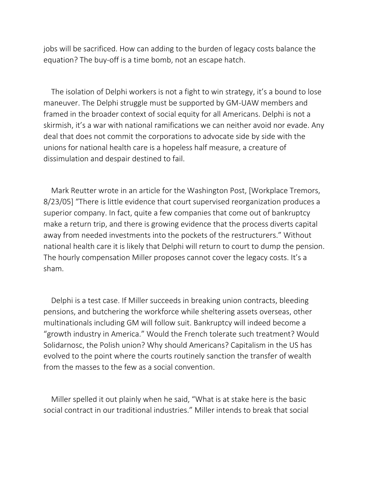jobs will be sacrificed. How can adding to the burden of legacy costs balance the equation? The buy-off is a time bomb, not an escape hatch.

The isolation of Delphi workers is not a fight to win strategy, it's a bound to lose maneuver. The Delphi struggle must be supported by GM-UAW members and framed in the broader context of social equity for all Americans. Delphi is not a skirmish, it's a war with national ramifications we can neither avoid nor evade. Any deal that does not commit the corporations to advocate side by side with the unions for national health care is a hopeless half measure, a creature of dissimulation and despair destined to fail.

Mark Reutter wrote in an article for the Washington Post, [Workplace Tremors, 8/23/05] "There is little evidence that court supervised reorganization produces a superior company. In fact, quite a few companies that come out of bankruptcy make a return trip, and there is growing evidence that the process diverts capital away from needed investments into the pockets of the restructurers." Without national health care it is likely that Delphi will return to court to dump the pension. The hourly compensation Miller proposes cannot cover the legacy costs. It's a sham.

Delphi is a test case. If Miller succeeds in breaking union contracts, bleeding pensions, and butchering the workforce while sheltering assets overseas, other multinationals including GM will follow suit. Bankruptcy will indeed become a "growth industry in America." Would the French tolerate such treatment? Would Solidarnosc, the Polish union? Why should Americans? Capitalism in the US has evolved to the point where the courts routinely sanction the transfer of wealth from the masses to the few as a social convention.

Miller spelled it out plainly when he said, "What is at stake here is the basic social contract in our traditional industries." Miller intends to break that social